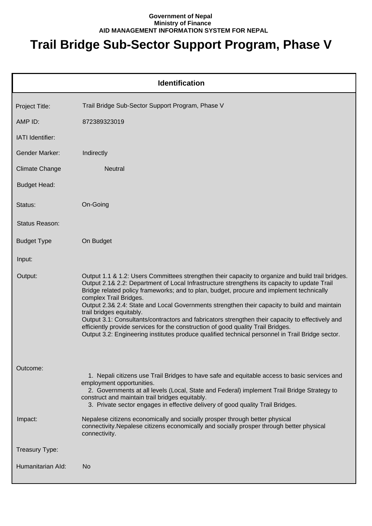## **Government of Nepal Ministry of Finance AID MANAGEMENT INFORMATION SYSTEM FOR NEPAL**

## **Trail Bridge Sub-Sector Support Program, Phase V**

|                       | <b>Identification</b>                                                                                                                                                                                                                                                                                                                                                                                                                                                                                                                                                                                                                                                                                                                           |
|-----------------------|-------------------------------------------------------------------------------------------------------------------------------------------------------------------------------------------------------------------------------------------------------------------------------------------------------------------------------------------------------------------------------------------------------------------------------------------------------------------------------------------------------------------------------------------------------------------------------------------------------------------------------------------------------------------------------------------------------------------------------------------------|
| Project Title:        | Trail Bridge Sub-Sector Support Program, Phase V                                                                                                                                                                                                                                                                                                                                                                                                                                                                                                                                                                                                                                                                                                |
| AMP ID:               | 872389323019                                                                                                                                                                                                                                                                                                                                                                                                                                                                                                                                                                                                                                                                                                                                    |
| IATI Identifier:      |                                                                                                                                                                                                                                                                                                                                                                                                                                                                                                                                                                                                                                                                                                                                                 |
| <b>Gender Marker:</b> | Indirectly                                                                                                                                                                                                                                                                                                                                                                                                                                                                                                                                                                                                                                                                                                                                      |
| <b>Climate Change</b> | <b>Neutral</b>                                                                                                                                                                                                                                                                                                                                                                                                                                                                                                                                                                                                                                                                                                                                  |
| <b>Budget Head:</b>   |                                                                                                                                                                                                                                                                                                                                                                                                                                                                                                                                                                                                                                                                                                                                                 |
| Status:               | On-Going                                                                                                                                                                                                                                                                                                                                                                                                                                                                                                                                                                                                                                                                                                                                        |
| Status Reason:        |                                                                                                                                                                                                                                                                                                                                                                                                                                                                                                                                                                                                                                                                                                                                                 |
| <b>Budget Type</b>    | On Budget                                                                                                                                                                                                                                                                                                                                                                                                                                                                                                                                                                                                                                                                                                                                       |
| Input:                |                                                                                                                                                                                                                                                                                                                                                                                                                                                                                                                                                                                                                                                                                                                                                 |
| Output:               | Output 1.1 & 1.2: Users Committees strengthen their capacity to organize and build trail bridges.<br>Output 2.1& 2.2: Department of Local Infrastructure strengthens its capacity to update Trail<br>Bridge related policy frameworks; and to plan, budget, procure and implement technically<br>complex Trail Bridges.<br>Output 2.3& 2.4: State and Local Governments strengthen their capacity to build and maintain<br>trail bridges equitably.<br>Output 3.1: Consultants/contractors and fabricators strengthen their capacity to effectively and<br>efficiently provide services for the construction of good quality Trail Bridges.<br>Output 3.2: Engineering institutes produce qualified technical personnel in Trail Bridge sector. |
| Outcome:              | 1. Nepali citizens use Trail Bridges to have safe and equitable access to basic services and<br>employment opportunities.<br>2. Governments at all levels (Local, State and Federal) implement Trail Bridge Strategy to<br>construct and maintain trail bridges equitably.<br>3. Private sector engages in effective delivery of good quality Trail Bridges.                                                                                                                                                                                                                                                                                                                                                                                    |
| Impact:               | Nepalese citizens economically and socially prosper through better physical<br>connectivity. Nepalese citizens economically and socially prosper through better physical<br>connectivity.                                                                                                                                                                                                                                                                                                                                                                                                                                                                                                                                                       |
| Treasury Type:        |                                                                                                                                                                                                                                                                                                                                                                                                                                                                                                                                                                                                                                                                                                                                                 |
| Humanitarian Ald:     | <b>No</b>                                                                                                                                                                                                                                                                                                                                                                                                                                                                                                                                                                                                                                                                                                                                       |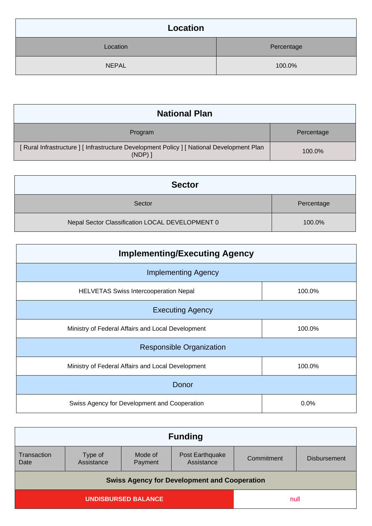| Location     |            |
|--------------|------------|
| Location     | Percentage |
| <b>NEPAL</b> | 100.0%     |

| <b>National Plan</b>                                                                                    |            |
|---------------------------------------------------------------------------------------------------------|------------|
| Program                                                                                                 | Percentage |
| [ Rural Infrastructure ] [ Infrastructure Development Policy ] [ National Development Plan<br>$(NDP)$ ] | 100.0%     |

| <b>Sector</b>                                   |            |
|-------------------------------------------------|------------|
| Sector                                          | Percentage |
| Nepal Sector Classification LOCAL DEVELOPMENT 0 | 100.0%     |

| <b>Implementing/Executing Agency</b>              |        |  |
|---------------------------------------------------|--------|--|
| <b>Implementing Agency</b>                        |        |  |
| <b>HELVETAS Swiss Intercooperation Nepal</b>      | 100.0% |  |
| <b>Executing Agency</b>                           |        |  |
| Ministry of Federal Affairs and Local Development | 100.0% |  |
| <b>Responsible Organization</b>                   |        |  |
| Ministry of Federal Affairs and Local Development | 100.0% |  |
| Donor                                             |        |  |
| Swiss Agency for Development and Cooperation      | 0.0%   |  |

| <b>Funding</b>                                      |                       |                    |                               |            |                     |
|-----------------------------------------------------|-----------------------|--------------------|-------------------------------|------------|---------------------|
| Transaction<br>Date                                 | Type of<br>Assistance | Mode of<br>Payment | Post Earthquake<br>Assistance | Commitment | <b>Disbursement</b> |
| <b>Swiss Agency for Development and Cooperation</b> |                       |                    |                               |            |                     |
| <b>UNDISBURSED BALANCE</b>                          |                       |                    | null                          |            |                     |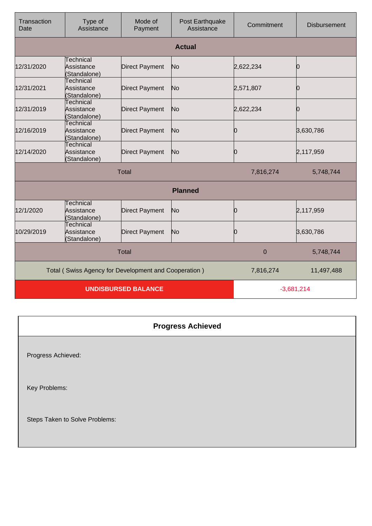| Transaction<br>Date        | Type of<br>Assistance                                | Mode of<br>Payment    | Post Earthquake<br>Assistance | Commitment     | <b>Disbursement</b> |
|----------------------------|------------------------------------------------------|-----------------------|-------------------------------|----------------|---------------------|
|                            |                                                      |                       | <b>Actual</b>                 |                |                     |
| 12/31/2020                 | Technical<br>Assistance<br>(Standalone)              | <b>Direct Payment</b> | No                            | 2,622,234      | Ŋ                   |
| 12/31/2021                 | <b>Technical</b><br>Assistance<br>(Standalone)       | <b>Direct Payment</b> | No                            | 2,571,807      | Ю                   |
| 12/31/2019                 | Technical<br>Assistance<br>(Standalone)              | <b>Direct Payment</b> | No                            | 2,622,234      | O                   |
| 12/16/2019                 | <b>Technical</b><br>Assistance<br>(Standalone)       | <b>Direct Payment</b> | No                            | Ю              | 3,630,786           |
| 12/14/2020                 | Technical<br>Assistance<br>(Standalone)              | <b>Direct Payment</b> | No                            | Ŋ              | 2,117,959           |
|                            |                                                      | <b>Total</b>          |                               | 7,816,274      | 5,748,744           |
|                            |                                                      |                       | <b>Planned</b>                |                |                     |
| 12/1/2020                  | Technical<br>Assistance<br>(Standalone)              | <b>Direct Payment</b> | No                            | Ю              | 2,117,959           |
| 10/29/2019                 | Technical<br>Assistance<br>(Standalone)              | <b>Direct Payment</b> | No                            | 10             | 3,630,786           |
|                            |                                                      | <b>Total</b>          |                               | $\overline{0}$ | 5,748,744           |
|                            | Total (Swiss Agency for Development and Cooperation) |                       |                               | 7,816,274      | 11,497,488          |
| <b>UNDISBURSED BALANCE</b> |                                                      |                       | $-3,681,214$                  |                |                     |

| <b>Progress Achieved</b>       |  |
|--------------------------------|--|
| Progress Achieved:             |  |
| Key Problems:                  |  |
| Steps Taken to Solve Problems: |  |
|                                |  |